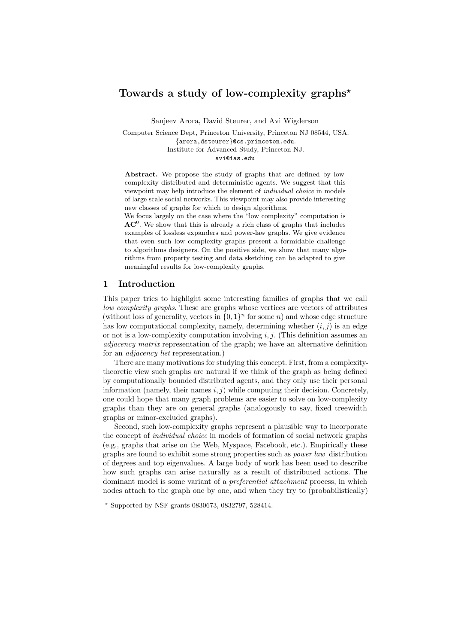# Towards a study of low-complexity graphs<sup>\*</sup>

Sanjeev Arora, David Steurer, and Avi Wigderson

Computer Science Dept, Princeton University, Princeton NJ 08544, USA. {arora,dsteurer}@cs.princeton.edu. Institute for Advanced Study, Princeton NJ. avi@ias.edu

Abstract. We propose the study of graphs that are defined by lowcomplexity distributed and deterministic agents. We suggest that this viewpoint may help introduce the element of individual choice in models of large scale social networks. This viewpoint may also provide interesting new classes of graphs for which to design algorithms.

We focus largely on the case where the "low complexity" computation is  $AC<sup>0</sup>$ . We show that this is already a rich class of graphs that includes examples of lossless expanders and power-law graphs. We give evidence that even such low complexity graphs present a formidable challenge to algorithms designers. On the positive side, we show that many algorithms from property testing and data sketching can be adapted to give meaningful results for low-complexity graphs.

## 1 Introduction

This paper tries to highlight some interesting families of graphs that we call low complexity graphs. These are graphs whose vertices are vectors of attributes (without loss of generality, vectors in  $\{0,1\}^n$  for some n) and whose edge structure has low computational complexity, namely, determining whether  $(i, j)$  is an edge or not is a low-complexity computation involving i, j. (This definition assumes an adjacency matrix representation of the graph; we have an alternative definition for an *adjacency list* representation.)

There are many motivations for studying this concept. First, from a complexitytheoretic view such graphs are natural if we think of the graph as being defined by computationally bounded distributed agents, and they only use their personal information (namely, their names  $i, j$ ) while computing their decision. Concretely, one could hope that many graph problems are easier to solve on low-complexity graphs than they are on general graphs (analogously to say, fixed treewidth graphs or minor-excluded graphs).

Second, such low-complexity graphs represent a plausible way to incorporate the concept of individual choice in models of formation of social network graphs (e.g., graphs that arise on the Web, Myspace, Facebook, etc.). Empirically these graphs are found to exhibit some strong properties such as power law distribution of degrees and top eigenvalues. A large body of work has been used to describe how such graphs can arise naturally as a result of distributed actions. The dominant model is some variant of a preferential attachment process, in which nodes attach to the graph one by one, and when they try to (probabilistically)

 $*$  Supported by NSF grants 0830673, 0832797, 528414.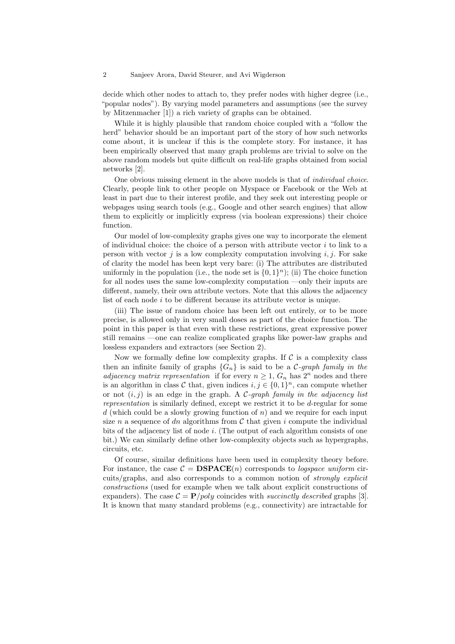#### 2 Sanjeev Arora, David Steurer, and Avi Wigderson

decide which other nodes to attach to, they prefer nodes with higher degree (i.e., "popular nodes"). By varying model parameters and assumptions (see the survey by Mitzenmacher [1]) a rich variety of graphs can be obtained.

While it is highly plausible that random choice coupled with a "follow the herd" behavior should be an important part of the story of how such networks come about, it is unclear if this is the complete story. For instance, it has been empirically observed that many graph problems are trivial to solve on the above random models but quite difficult on real-life graphs obtained from social networks [2].

One obvious missing element in the above models is that of individual choice. Clearly, people link to other people on Myspace or Facebook or the Web at least in part due to their interest profile, and they seek out interesting people or webpages using search tools (e.g., Google and other search engines) that allow them to explicitly or implicitly express (via boolean expressions) their choice function.

Our model of low-complexity graphs gives one way to incorporate the element of individual choice: the choice of a person with attribute vector  $i$  to link to a person with vector  $j$  is a low complexity computation involving  $i, j$ . For sake of clarity the model has been kept very bare: (i) The attributes are distributed uniformly in the population (i.e., the node set is  $\{0,1\}^n$ ); (ii) The choice function for all nodes uses the same low-complexity computation —only their inputs are different, namely, their own attribute vectors. Note that this allows the adjacency list of each node  $i$  to be different because its attribute vector is unique.

(iii) The issue of random choice has been left out entirely, or to be more precise, is allowed only in very small doses as part of the choice function. The point in this paper is that even with these restrictions, great expressive power still remains —one can realize complicated graphs like power-law graphs and lossless expanders and extractors (see Section 2).

Now we formally define low complexity graphs. If  $\mathcal C$  is a complexity class then an infinite family of graphs  ${G_n}$  is said to be a C-graph family in the adjacency matrix representation if for every  $n \geq 1$ ,  $G_n$  has  $2^n$  nodes and there is an algorithm in class C that, given indices  $i, j \in \{0, 1\}^n$ , can compute whether or not  $(i, j)$  is an edge in the graph. A C-graph family in the adjacency list representation is similarly defined, except we restrict it to be d-regular for some  $d$  (which could be a slowly growing function of  $n$ ) and we require for each input size n a sequence of dn algorithms from  $C$  that given i compute the individual bits of the adjacency list of node i. (The output of each algorithm consists of one bit.) We can similarly define other low-complexity objects such as hypergraphs, circuits, etc.

Of course, similar definitions have been used in complexity theory before. For instance, the case  $\mathcal{C} = \mathbf{DSPACE}(n)$  corresponds to logspace uniform circuits/graphs, and also corresponds to a common notion of strongly explicit constructions (used for example when we talk about explicit constructions of expanders). The case  $C = P/poly$  coincides with *succinctly described* graphs [3]. It is known that many standard problems (e.g., connectivity) are intractable for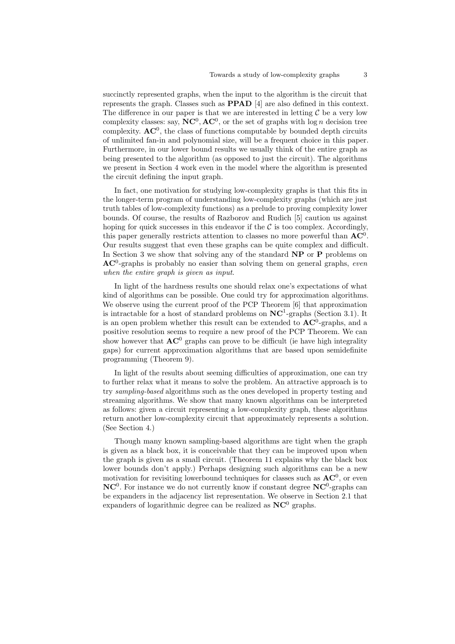succinctly represented graphs, when the input to the algorithm is the circuit that represents the graph. Classes such as PPAD [4] are also defined in this context. The difference in our paper is that we are interested in letting  $C$  be a very low complexity classes: say,  $NC^0$ ,  $AC^0$ , or the set of graphs with log *n* decision tree complexity.  $AC^0$ , the class of functions computable by bounded depth circuits of unlimited fan-in and polynomial size, will be a frequent choice in this paper. Furthermore, in our lower bound results we usually think of the entire graph as being presented to the algorithm (as opposed to just the circuit). The algorithms we present in Section 4 work even in the model where the algorithm is presented the circuit defining the input graph.

In fact, one motivation for studying low-complexity graphs is that this fits in the longer-term program of understanding low-complexity graphs (which are just truth tables of low-complexity functions) as a prelude to proving complexity lower bounds. Of course, the results of Razborov and Rudich [5] caution us against hoping for quick successes in this endeavor if the  $\mathcal C$  is too complex. Accordingly, this paper generally restricts attention to classes no more powerful than  $AC^0$ . Our results suggest that even these graphs can be quite complex and difficult. In Section 3 we show that solving any of the standard  $\bf NP$  or  $\bf P$  problems on  $AC<sup>0</sup>$ -graphs is probably no easier than solving them on general graphs, even when the entire graph is given as input.

In light of the hardness results one should relax one's expectations of what kind of algorithms can be possible. One could try for approximation algorithms. We observe using the current proof of the PCP Theorem [6] that approximation is intractable for a host of standard problems on  $NC<sup>1</sup>$ -graphs (Section 3.1). It is an open problem whether this result can be extended to  $AC^0$ -graphs, and a positive resolution seems to require a new proof of the PCP Theorem. We can show however that  $AC^0$  graphs can prove to be difficult (ie have high integrality gaps) for current approximation algorithms that are based upon semidefinite programming (Theorem 9).

In light of the results about seeming difficulties of approximation, one can try to further relax what it means to solve the problem. An attractive approach is to try sampling-based algorithms such as the ones developed in property testing and streaming algorithms. We show that many known algorithms can be interpreted as follows: given a circuit representing a low-complexity graph, these algorithms return another low-complexity circuit that approximately represents a solution. (See Section 4.)

Though many known sampling-based algorithms are tight when the graph is given as a black box, it is conceivable that they can be improved upon when the graph is given as a small circuit. (Theorem 11 explains why the black box lower bounds don't apply.) Perhaps designing such algorithms can be a new motivation for revisiting lowerbound techniques for classes such as  $AC^0$ , or even  $NC<sup>0</sup>$ . For instance we do not currently know if constant degree  $NC<sup>0</sup>$ -graphs can be expanders in the adjacency list representation. We observe in Section 2.1 that expanders of logarithmic degree can be realized as  $NC^0$  graphs.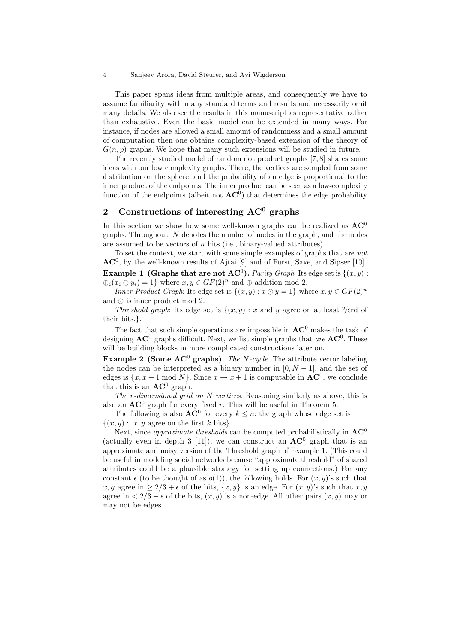#### 4 Sanjeev Arora, David Steurer, and Avi Wigderson

This paper spans ideas from multiple areas, and consequently we have to assume familiarity with many standard terms and results and necessarily omit many details. We also see the results in this manuscript as representative rather than exhaustive. Even the basic model can be extended in many ways. For instance, if nodes are allowed a small amount of randomness and a small amount of computation then one obtains complexity-based extension of the theory of  $G(n, p)$  graphs. We hope that many such extensions will be studied in future.

The recently studied model of random dot product graphs [7, 8] shares some ideas with our low complexity graphs. There, the vertices are sampled from some distribution on the sphere, and the probability of an edge is proportional to the inner product of the endpoints. The inner product can be seen as a low-complexity function of the endpoints (albeit not  $AC^0$ ) that determines the edge probability.

# 2 Constructions of interesting  $AC<sup>0</sup>$  graphs

In this section we show how some well-known graphs can be realized as  $AC^0$ graphs. Throughout, N denotes the number of nodes in the graph, and the nodes are assumed to be vectors of n bits (i.e., binary-valued attributes).

To set the context, we start with some simple examples of graphs that are not  $AC<sup>0</sup>$ , by the well-known results of Ajtai [9] and of Furst, Saxe, and Sipser [10]. **Example 1** (Graphs that are not  $AC^0$ ). Parity Graph: Its edge set is  $\{(x, y)$ :  $\bigoplus_i (x_i \oplus y_i) = 1$  where  $x, y \in GF(2)^n$  and  $\oplus$  addition mod 2.

Inner Product Graph: Its edge set is  $\{(x, y) : x \odot y = 1\}$  where  $x, y \in GF(2)^n$ and  $\odot$  is inner product mod 2.

Threshold graph: Its edge set is  $\{(x, y) : x \text{ and } y \text{ agree on at least } 2/\text{std of}\}$ their bits.}.

The fact that such simple operations are impossible in  $AC^0$  makes the task of designing  $AC^0$  graphs difficult. Next, we list simple graphs that are  $AC^0$ . These will be building blocks in more complicated constructions later on.

**Example 2 (Some AC<sup>0</sup> graphs).** The N-cycle. The attribute vector labeling the nodes can be interpreted as a binary number in  $[0, N - 1]$ , and the set of edges is  $\{x, x+1 \mod N\}$ . Since  $x \to x+1$  is computable in  $AC^0$ , we conclude that this is an  $AC^0$  graph.

The  $r$ -dimensional grid on  $N$  vertices. Reasoning similarly as above, this is also an  $AC^0$  graph for every fixed r. This will be useful in Theorem 5.

The following is also  $AC^0$  for every  $k \leq n$ : the graph whose edge set is  $\{(x, y): x, y \text{ agree on the first } k \text{ bits}\}.$ 

Next, since *approximate thresholds* can be computed probabilistically in  $AC^0$ (actually even in depth 3 [11]), we can construct an  $AC^0$  graph that is an approximate and noisy version of the Threshold graph of Example 1. (This could be useful in modeling social networks because "approximate threshold" of shared attributes could be a plausible strategy for setting up connections.) For any constant  $\epsilon$  (to be thought of as  $o(1)$ ), the following holds. For  $(x, y)$ 's such that x, y agree in  $\geq 2/3 + \epsilon$  of the bits,  $\{x, y\}$  is an edge. For  $(x, y)$ 's such that x, y agree in  $\langle 2/3 - \epsilon$  of the bits,  $(x, y)$  is a non-edge. All other pairs  $(x, y)$  may or may not be edges.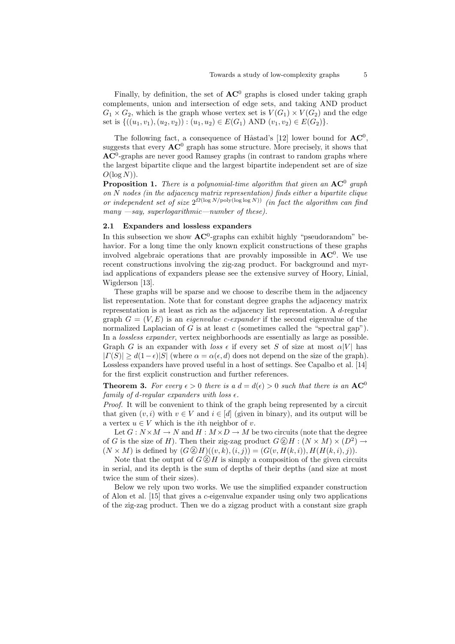Finally, by definition, the set of  $AC^0$  graphs is closed under taking graph complements, union and intersection of edge sets, and taking AND product  $G_1 \times G_2$ , which is the graph whose vertex set is  $V(G_1) \times V(G_2)$  and the edge set is  $\{((u_1, v_1), (u_2, v_2)) : (u_1, u_2) \in E(G_1) \text{ AND } (v_1, v_2) \in E(G_2)\}.$ 

The following fact, a consequence of Håstad's [12] lower bound for  $AC^0$ , suggests that every  $AC^0$  graph has some structure. More precisely, it shows that  $AC<sup>0</sup>$ -graphs are never good Ramsey graphs (in contrast to random graphs where the largest bipartite clique and the largest bipartite independent set are of size  $O(\log N)$ ).

**Proposition 1.** There is a polynomial-time algorithm that given an  $AC^0$  graph on N nodes (in the adjacency matrix representation) finds either a bipartite clique or independent set of size  $2^{\Omega(\log N/\text{poly}(\log \log N))}$  (in fact the algorithm can find many  $-say$ , superlogarithmic—number of these).

### 2.1 Expanders and lossless expanders

In this subsection we show  $AC^0$ -graphs can exhibit highly "pseudorandom" behavior. For a long time the only known explicit constructions of these graphs involved algebraic operations that are provably impossible in  $AC^0$ . We use recent constructions involving the zig-zag product. For background and myriad applications of expanders please see the extensive survey of Hoory, Linial, Wigderson [13].

These graphs will be sparse and we choose to describe them in the adjacency list representation. Note that for constant degree graphs the adjacency matrix representation is at least as rich as the adjacency list representation. A d-regular graph  $G = (V, E)$  is an *eigenvalue c-expander* if the second eigenvalue of the normalized Laplacian of G is at least c (sometimes called the "spectral gap"). In a lossless expander, vertex neighborhoods are essentially as large as possible. Graph G is an expander with loss  $\epsilon$  if every set S of size at most  $\alpha|V|$  has  $| \Gamma(S) | \ge d(1-\epsilon) |S|$  (where  $\alpha = \alpha(\epsilon, d)$  does not depend on the size of the graph). Lossless expanders have proved useful in a host of settings. See Capalbo et al. [14] for the first explicit construction and further references.

**Theorem 3.** For every  $\epsilon > 0$  there is a  $d = d(\epsilon) > 0$  such that there is an  $AC^0$ family of d-regular expanders with loss  $\epsilon$ .

Proof. It will be convenient to think of the graph being represented by a circuit that given  $(v, i)$  with  $v \in V$  and  $i \in [d]$  (given in binary), and its output will be a vertex  $u \in V$  which is the *i*th neighbor of *v*.

Let  $G: N \times M \to N$  and  $H: M \times D \to M$  be two circuits (note that the degree of G is the size of H). Then their zig-zag product  $G \otimes H : (N \times M) \times (D^2) \rightarrow$  $(N \times M)$  is defined by  $(G \, \mathcal{D} H)((v, k), (i, j)) = (G(v, H(k, i)), H(H(k, i), j)).$ 

Note that the output of  $G \, \widehat{\otimes} H$  is simply a composition of the given circuits in serial, and its depth is the sum of depths of their depths (and size at most twice the sum of their sizes).

Below we rely upon two works. We use the simplified expander construction of Alon et al. [15] that gives a c-eigenvalue expander using only two applications of the zig-zag product. Then we do a zigzag product with a constant size graph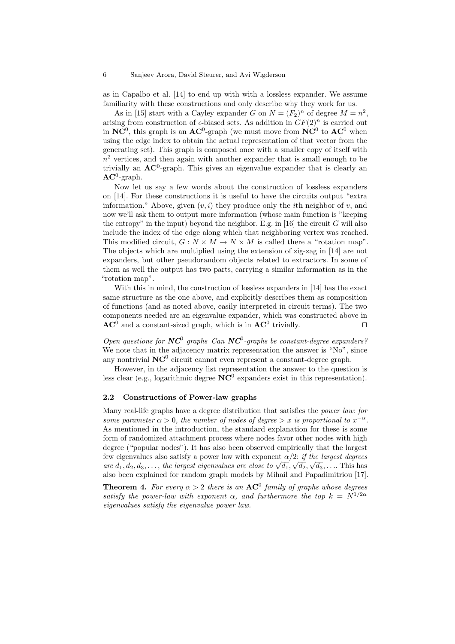as in Capalbo et al. [14] to end up with with a lossless expander. We assume familiarity with these constructions and only describe why they work for us.

As in [15] start with a Cayley expander G on  $N = (F_2)^n$  of degree  $M = n^2$ , arising from construction of  $\epsilon$ -biased sets. As addition in  $GF(2)^n$  is carried out in  $NC^0$ , this graph is an  $AC^0$ -graph (we must move from  $NC^0$  to  $AC^0$  when using the edge index to obtain the actual representation of that vector from the generating set). This graph is composed once with a smaller copy of itself with  $n<sup>2</sup>$  vertices, and then again with another expander that is small enough to be trivially an  $AC^0$ -graph. This gives an eigenvalue expander that is clearly an  $AC^0$ -graph.

Now let us say a few words about the construction of lossless expanders on [14]. For these constructions it is useful to have the circuits output "extra information." Above, given  $(v, i)$  they produce only the *i*th neighbor of v, and now we'll ask them to output more information (whose main function is "keeping the entropy" in the input) beyond the neighbor. E.g. in [16] the circuit  $G$  will also include the index of the edge along which that neighboring vertex was reached. This modified circuit,  $G: N \times M \to N \times M$  is called there a "rotation map". The objects which are multiplied using the extension of zig-zag in [14] are not expanders, but other pseudorandom objects related to extractors. In some of them as well the output has two parts, carrying a similar information as in the "rotation map".

With this in mind, the construction of lossless expanders in [14] has the exact same structure as the one above, and explicitly describes them as composition of functions (and as noted above, easily interpreted in circuit terms). The two components needed are an eigenvalue expander, which was constructed above in  $AC^0$  and a constant-sized graph, which is in  $AC^0$  trivially.

Open questions for  $NC^0$  graphs Can  $NC^0$ -graphs be constant-degree expanders? We note that in the adjacency matrix representation the answer is "No", since any nontrivial  $NC^0$  circuit cannot even represent a constant-degree graph.

However, in the adjacency list representation the answer to the question is less clear (e.g., logarithmic degree  $NC^0$  expanders exist in this representation).

## 2.2 Constructions of Power-law graphs

Many real-life graphs have a degree distribution that satisfies the power law: for some parameter  $\alpha > 0$ , the number of nodes of degree  $> x$  is proportional to  $x^{-\alpha}$ . As mentioned in the introduction, the standard explanation for these is some form of randomized attachment process where nodes favor other nodes with high degree ("popular nodes"). It has also been observed empirically that the largest few eigenvalues also satisfy a power law with exponent  $\alpha/2$ : if the largest degrees EUR EXECUTE AND SATISTY A POWET TAW WITH EXPONDITION  $\alpha/2$ : if the targest degrees are  $d_1, d_2, d_3, \ldots$ , the largest eigenvalues are close to  $\sqrt{d_1}, \sqrt{d_2}, \sqrt{d_3}, \ldots$ . This has also been explained for random graph models by Mihail and Papadimitriou [17].

**Theorem 4.** For every  $\alpha > 2$  there is an  $AC^0$  family of graphs whose degrees satisfy the power-law with exponent  $\alpha$ , and furthermore the top  $k = N^{1/2\alpha}$ eigenvalues satisfy the eigenvalue power law.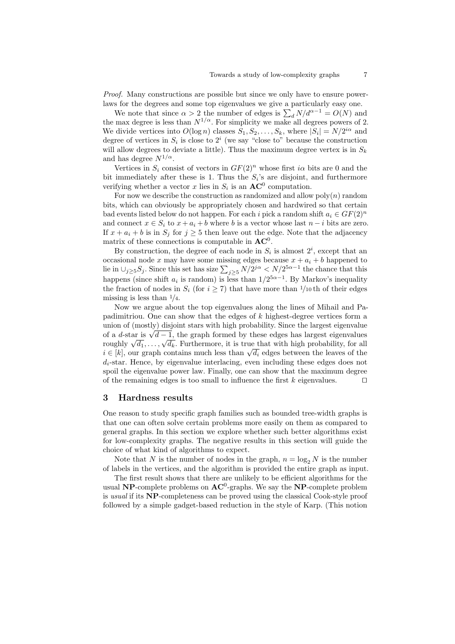Proof. Many constructions are possible but since we only have to ensure powerlaws for the degrees and some top eigenvalues we give a particularly easy one.

We note that since  $\alpha > 2$  the number of edges is  $\sum_{d} N/d^{\alpha-1} = O(N)$  and the max degree is less than  $N^{1/\alpha}$ . For simplicity we make all degrees powers of 2. We divide vertices into  $O(\log n)$  classes  $S_1, S_2, \ldots, S_k$ , where  $|S_i| = N/2^{i\alpha}$  and degree of vertices in  $S_i$  is close to  $2^i$  (we say "close to" because the construction will allow degrees to deviate a little). Thus the maximum degree vertex is in  $S_k$ and has degree  $N^{1/\alpha}$ .

Vertices in  $S_i$  consist of vectors in  $GF(2)^n$  whose first *i* $\alpha$  bits are 0 and the bit immediately after these is 1. Thus the  $S_i$ 's are disjoint, and furthermore verifying whether a vector x lies in  $S_i$  is an  $AC^0$  computation.

For now we describe the construction as randomized and allow  $poly(n)$  random bits, which can obviously be appropriately chosen and hardwired so that certain bad events listed below do not happen. For each i pick a random shift  $a_i \in GF(2)^n$ and connect  $x \in S_i$  to  $x + a_i + b$  where b is a vector whose last  $n - i$  bits are zero. If  $x + a_i + b$  is in  $S_i$  for  $j \geq 5$  then leave out the edge. Note that the adjacency matrix of these connections is computable in  $AC^0$ .

By construction, the degree of each node in  $S_i$  is almost  $2^i$ , except that an occasional node x may have some missing edges because  $x + a_i + b$  happened to lie in  $\cup_{j\geq 5} S_j$ . Since this set has size  $\sum_{j\geq 5} N/2^{j\alpha} < N/2^{5\alpha-1}$  the chance that this happens (since shift  $a_i$  is random) is less than  $1/2^{5\alpha-1}$ . By Markov's inequality the fraction of nodes in  $S_i$  (for  $i \geq 7$ ) that have more than 1/10 th of their edges missing is less than  $\frac{1}{4}$ .

Now we argue about the top eigenvalues along the lines of Mihail and Papadimitriou. One can show that the edges of  $k$  highest-degree vertices form a union of (mostly) disjoint stars with high probability. Since the largest eigenvalue umon or (mostly) disjoint stars with high probability. Since the largest eigenvalues of a d-star is  $\sqrt{d-1}$ , the graph formed by these edges has largest eigenvalues or a *a*-star is  $\sqrt{a} - 1$ , the graph formed by these edges has largest eigenvalues roughly  $\sqrt{d_1}, \ldots, \sqrt{d_k}$ . Furthermore, it is true that with high probability, for all roughly  $\sqrt{a_1}, \ldots, \sqrt{a_k}$ . Furthermore, it is true that with high probability, for all  $i \in [k]$ , our graph contains much less than  $\sqrt{d_i}$  edges between the leaves of the  $d_i$ -star. Hence, by eigenvalue interlacing, even including these edges does not spoil the eigenvalue power law. Finally, one can show that the maximum degree of the remaining edges is too small to influence the first  $k$  eigenvalues.  $\Box$ 

### 3 Hardness results

One reason to study specific graph families such as bounded tree-width graphs is that one can often solve certain problems more easily on them as compared to general graphs. In this section we explore whether such better algorithms exist for low-complexity graphs. The negative results in this section will guide the choice of what kind of algorithms to expect.

Note that N is the number of nodes in the graph,  $n = \log_2 N$  is the number of labels in the vertices, and the algorithm is provided the entire graph as input.

The first result shows that there are unlikely to be efficient algorithms for the usual NP-complete problems on  $AC^0$ -graphs. We say the NP-complete problem is usual if its NP-completeness can be proved using the classical Cook-style proof followed by a simple gadget-based reduction in the style of Karp. (This notion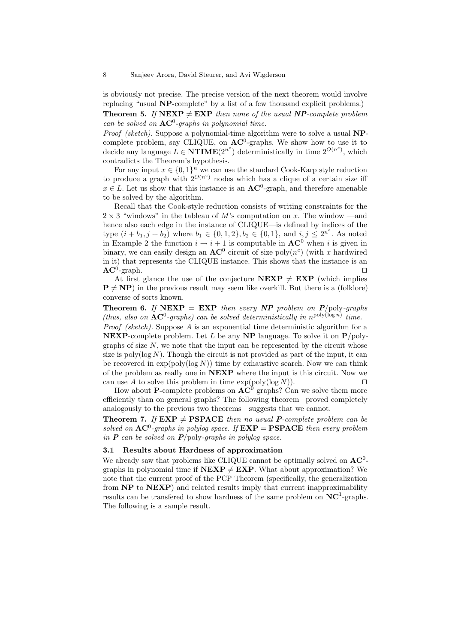is obviously not precise. The precise version of the next theorem would involve replacing "usual NP-complete" by a list of a few thousand explicit problems.) **Theorem 5.** If  $NEXP \neq EXP$  then none of the usual  $NP$ -complete problem

can be solved on  $AC^0$ -graphs in polynomial time. *Proof (sketch)*. Suppose a polynomial-time algorithm were to solve a usual  $NP$ -

complete problem, say CLIQUE, on  $AC^0$ -graphs. We show how to use it to decide any language  $\tilde{L} \in \mathbf{NTIME}(2^{n^c})$  deterministically in time  $2^{O(n^c)}$ , which contradicts the Theorem's hypothesis.

For any input  $x \in \{0,1\}^n$  we can use the standard Cook-Karp style reduction to produce a graph with  $2^{O(n^c)}$  nodes which has a clique of a certain size iff  $x \in L$ . Let us show that this instance is an  $AC^0$ -graph, and therefore amenable to be solved by the algorithm.

Recall that the Cook-style reduction consists of writing constraints for the  $2 \times 3$  "windows" in the tableau of M's computation on x. The window —and hence also each edge in the instance of CLIQUE—is defined by indices of the type  $(i + b_1, j + b_2)$  where  $b_1 \in \{0, 1, 2\}, b_2 \in \{0, 1\}$ , and  $i, j \leq 2^{n^c}$ . As noted in Example 2 the function  $i \rightarrow i+1$  is computable in  $AC^0$  when i is given in binary, we can easily design an  $AC^0$  circuit of size poly $(n^c)$  (with x hardwired in it) that represents the CLIQUE instance. This shows that the instance is an  $AC^0$ -graph.  $\Box$ 

At first glance the use of the conjecture  $NEXP \neq EXP$  (which implies  $P \neq NP$ ) in the previous result may seem like overkill. But there is a (folklore) converse of sorts known.

**Theorem 6.** If  $NEXP = EXP$  then every  $NP$  problem on  $P$ /poly-graphs (thus, also on  $AC^0$ -graphs) can be solved deterministically in  $n^{poly(\log n)}$  time. *Proof (sketch)*. Suppose  $A$  is an exponential time deterministic algorithm for a **NEXP**-complete problem. Let L be any **NP** language. To solve it on  $P/poly$ graphs of size  $N$ , we note that the input can be represented by the circuit whose size is poly( $log N$ ). Though the circuit is not provided as part of the input, it can be recovered in  $\exp(\text{poly}(\log N))$  time by exhaustive search. Now we can think of the problem as really one in NEXP where the input is this circuit. Now we can use A to solve this problem in time  $\exp(\text{poly}(\log N))$ .

How about **P**-complete problems on  $AC^0$  graphs? Can we solve them more efficiently than on general graphs? The following theorem –proved completely analogously to the previous two theorems—suggests that we cannot.

**Theorem 7.** If  $EXP \neq PSPACE$  then no usual *P*-complete problem can be solved on  $AC^0$ -graphs in polylog space. If  $EXP = PSPACE$  then every problem in  $P$  can be solved on  $P$ /poly-graphs in polylog space.

#### 3.1 Results about Hardness of approximation

We already saw that problems like CLIQUE cannot be optimally solved on  $AC^0$ graphs in polynomial time if  $NEXP \neq EXP$ . What about approximation? We note that the current proof of the PCP Theorem (specifically, the generalization from NP to NEXP) and related results imply that current inapproximability results can be transfered to show hardness of the same problem on  $NC^1$ -graphs. The following is a sample result.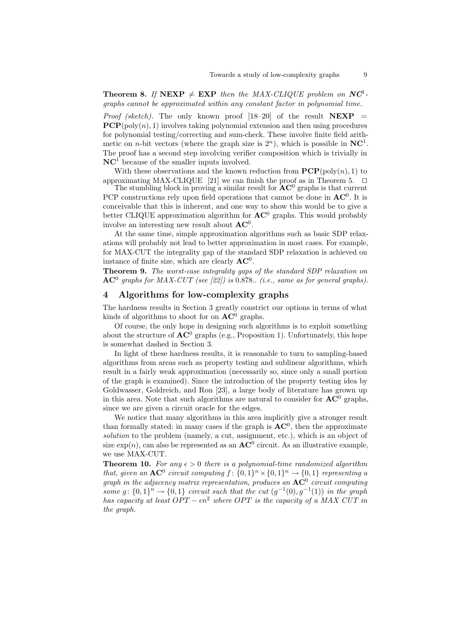**Theorem 8.** If NEXP  $\neq$  EXP then the MAX-CLIQUE problem on NC<sup>1</sup>. graphs cannot be approximated within any constant factor in polynomial time.

*Proof (sketch)*. The only known proof  $[18-20]$  of the result  $NEXP =$  $PCP(\text{poly}(n), 1)$  involves taking polynomial extension and then using procedures for polynomial testing/correcting and sum-check. These involve finite field arithmetic on *n*-bit vectors (where the graph size is  $2<sup>n</sup>$ ), which is possible in NC<sup>1</sup>. The proof has a second step involving verifier composition which is trivially in  $NC<sup>1</sup>$  because of the smaller inputs involved.

With these observations and the known reduction from  $\mathbf{PCP}(\text{poly}(n), 1)$  to approximating MAX-CLIQUE [21] we can finish the proof as in Theorem 5.  $\Box$ 

The stumbling block in proving a similar result for  $AC^0$  graphs is that current PCP constructions rely upon field operations that cannot be done in  $AC^0$ . It is conceivable that this is inherent, and one way to show this would be to give a better CLIQUE approximation algorithm for  $AC^0$  graphs. This would probably involve an interesting new result about  $AC^0$ .

At the same time, simple approximation algorithms such as basic SDP relaxations will probably not lead to better approximation in most cases. For example, for MAX-CUT the integrality gap of the standard SDP relaxation is achieved on instance of finite size, which are clearly  $AC^0$ .

Theorem 9. The worst-case integrality gaps of the standard SDP relaxation on  $AC<sup>0</sup>$  graphs for MAX-CUT (see [22]) is 0.878.. (i.e., same as for general graphs).

## 4 Algorithms for low-complexity graphs

The hardness results in Section 3 greatly constrict our options in terms of what kinds of algorithms to shoot for on  $AC^0$  graphs.

Of course, the only hope in designing such algorithms is to exploit something about the structure of  $AC^0$  graphs (e.g., Proposition 1). Unfortunately, this hope is somewhat dashed in Section 3.

In light of these hardness results, it is reasonable to turn to sampling-based algorithms from areas such as property testing and sublinear algorithms, which result in a fairly weak approximation (necessarily so, since only a small portion of the graph is examined). Since the introduction of the property testing idea by Goldwasser, Goldreich, and Ron [23], a large body of literature has grown up in this area. Note that such algorithms are natural to consider for  $AC^0$  graphs, since we are given a circuit oracle for the edges.

We notice that many algorithms in this area implicitly give a stronger result than formally stated: in many cases if the graph is  $AC^0$ , then the approximate solution to the problem (namely, a cut, assignment, etc.), which is an object of size  $\exp(n)$ , can also be represented as an  $AC^0$  circuit. As an illustrative example, we use MAX-CUT.

**Theorem 10.** For any  $\epsilon > 0$  there is a polynomial-time randomized algorithm that, given an  $AC^0$  circuit computing  $f: \{0,1\}^n \times \{0,1\}^n \rightarrow \{0,1\}$  representing a graph in the adjacency matrix representation, produces an  $\mathbf{AC}^0$  circuit computing some g:  $\{0,1\}^n \rightarrow \{0,1\}$  circuit such that the cut  $(g^{-1}(0), g^{-1}(1))$  in the graph has capacity at least  $OPT - \epsilon n^2$  where OPT is the capacity of a MAX CUT in the graph.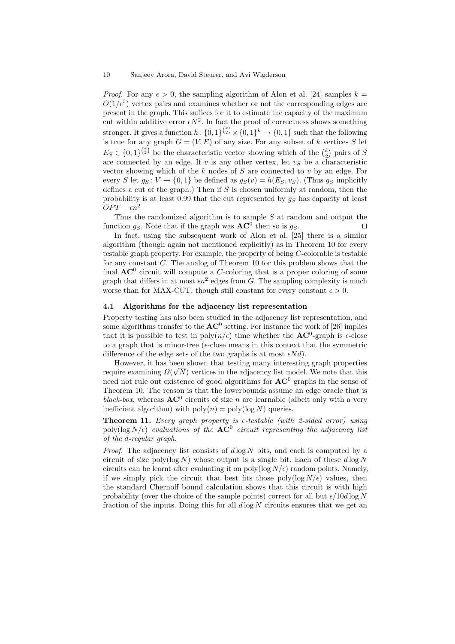*Proof.* For any  $\epsilon > 0$ , the sampling algorithm of Alon et al. [24] samples  $k =$  $O(1/\epsilon^5)$  vertex pairs and examines whether or not the corresponding edges are present in the graph. This suffices for it to estimate the capacity of the maximum cut within additive error  $\epsilon N^2$ . In fact the proof of correctness shows something stronger. It gives a function  $h: \{0,1\}^{k \choose 2} \times \{0,1\}^k \to \{0,1\}$  such that the following is true for any graph  $G = (V, E)$  of any size. For any subset of k vertices S let  $E_S \in \{0,1\}^{\binom{k}{2}}$  be the characteristic vector showing which of the  $\binom{k}{2}$  pairs of S are connected by an edge. If  $v$  is any other vertex, let  $v<sub>S</sub>$  be a characteristic vector showing which of the  $k$  nodes of  $S$  are connected to  $v$  by an edge. For every S let  $g_S: V \to \{0, 1\}$  be defined as  $g_S(v) = h(E_S, v_S)$ . (Thus  $g_S$  implicitly defines a cut of the graph.) Then if  $S$  is chosen uniformly at random, then the probability is at least 0.99 that the cut represented by  $g_S$  has capacity at least  $OPT - \epsilon n^2$ 

Thus the randomized algorithm is to sample  $S$  at random and output the function  $g_S$ . Note that if the graph was  $AC^0$  then so is  $g_S$ .

In fact, using the subsequent work of Alon et al. [25] there is a similar algorithm (though again not mentioned explicitly) as in Theorem 10 for every testable graph property. For example, the property of being C-colorable is testable for any constant C. The analog of Theorem 10 for this problem shows that the final  $AC^0$  circuit will compute a C-coloring that is a proper coloring of some graph that differs in at most  $\epsilon n^2$  edges from G. The sampling complexity is much worse than for MAX-CUT, though still constant for every constant  $\epsilon > 0$ .

### 4.1 Algorithms for the adjacency list representation

Property testing has also been studied in the adjacency list representation, and some algorithms transfer to the  $AC^0$  setting. For instance the work of [26] implies that it is possible to test in  $poly(n/\epsilon)$  time whether the **AC**<sup>0</sup>-graph is  $\epsilon$ -close to a graph that is minor-free ( $\epsilon$ -close means in this context that the symmetric difference of the edge sets of the two graphs is at most  $\epsilon N d$ ).

However, it has been shown that testing many interesting graph properties require examining  $\Omega(\sqrt{N})$  vertices in the adjacency list model. We note that this need not rule out existence of good algorithms for  $AC^0$  graphs in the sense of Theorem 10. The reason is that the lowerbounds assume an edge oracle that is black-box, whereas  $AC^0$  circuits of size n are learnable (albeit only with a very inefficient algorithm) with  $poly(n) = poly(log N)$  queries.

**Theorem 11.** Every graph property is  $\epsilon$ -testable (with 2-sided error) using poly(log  $N/\epsilon$ ) evaluations of the  $AC^0$  circuit representing the adjacency list of the d-regular graph.

*Proof.* The adjacency list consists of  $d \log N$  bits, and each is computed by a circuit of size poly( $log N$ ) whose output is a single bit. Each of these  $d log N$ circuits can be learnt after evaluating it on poly( $\log N/\epsilon$ ) random points. Namely, if we simply pick the circuit that best fits those poly( $\log N/\epsilon$ ) values, then the standard Chernoff bound calculation shows that this circuit is with high probability (over the choice of the sample points) correct for all but  $\epsilon/10d \log N$ fraction of the inputs. Doing this for all  $d \log N$  circuits ensures that we get an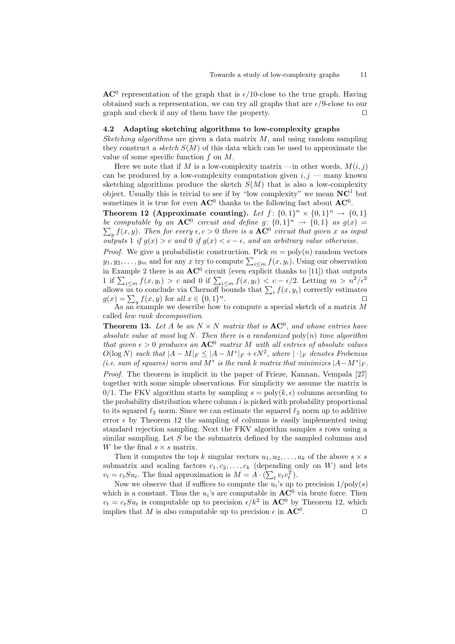$AC<sup>0</sup>$  representation of the graph that is  $\epsilon/10$ -close to the true graph. Having obtained such a representation, we can try all graphs that are  $\epsilon/9$ -close to our graph and check if any of them have the property.  $\Box$ 

# 4.2 Adapting sketching algorithms to low-complexity graphs

Sketching algorithms are given a data matrix  $M$ , and using random sampling they construct a sketch  $S(M)$  of this data which can be used to approximate the value of some specific function  $f$  on  $M$ .

Here we note that if M is a low-complexity matrix —in other words,  $M(i, j)$ can be produced by a low-complexity computation given  $i, j$  — many known sketching algorithms produce the sketch  $S(M)$  that is also a low-complexity object. Usually this is trivial to see if by "low complexity" we mean  $NC<sup>1</sup>$  but sometimes it is true for even  $AC^0$  thanks to the following fact about  $AC^0$ .

Theorem 12 (Approximate counting). Let  $f: \{0,1\}^n \times \{0,1\}^n \rightarrow \{0,1\}$ be computable by an  $AC^0$  circuit and define  $g: \{0,1\}$  $\sum$  $n \to \{0,1\}$  as  $g(x) =$  $\int_{y} f(x, y)$ . Then for every  $\epsilon, c > 0$  there is a  $AC^0$  circuit that given x as input outputs 1 if  $g(x) > c$  and 0 if  $g(x) < c - \epsilon$ , and an arbitrary value otherwise.

*Proof.* We give a probabilistic construction. Pick  $m = \text{poly}(n)$  random vectors  $y_1, y_2, \ldots, y_m$  and for any x try to compute  $\sum_{i \le m} f(x, y_i)$ . Using our observation in Example 2 there is an  $AC^0$  circuit (even explicit thanks to [11]) that outputs 1 if  $\sum_{i\leq m} f(x,y_i) > c$  and 0 if  $\sum_{i\leq m} f(x,y_i) < c - \epsilon/2$ . Letting  $m > n^2/\epsilon^2$ allows us to conclude via Chernoff bounds that  $\sum_i f(x, y_i)$  correctly estimates  $g(x) = \sum_{y} f(x, y)$  for all  $x \in \{0, 1\}$  $n$ .

As an example we describe how to compute a special sketch of a matrix M called low rank decomposition.

**Theorem 13.** Let A be an  $N \times N$  matrix that is  $AC^0$ , and whose entries have absolute value at most  $\log N$ . Then there is a randomized  $\mathrm{poly}(n)$  time algorithm that given  $\epsilon > 0$  produces an  $AC^0$  matrix M with all entries of absolute values  $O(\log N)$  such that  $|A-M|_F \leq |A-M^*|_F + \epsilon N^2$ , where  $|\cdot|_F$  denotes Frobenius (i.e. sum of squares) norm and  $M^*$  is the rank k matrix that minimizes  $|A-M^*|_F$ .

Proof. The theorem is implicit in the paper of Frieze, Kannan, Vempala [27] together with some simple observations. For simplicity we assume the matrix is  $0/1$ . The FKV algorithm starts by sampling  $s = poly(k, \epsilon)$  columns according to the probability distribution where column  $i$  is picked with probability proportional to its squared  $\ell_2$  norm. Since we can estimate the squared  $\ell_2$  norm up to additive error  $\epsilon$  by Theorem 12 the sampling of columns is easily implemented using standard rejection sampling. Next the FKV algorithm samples s rows using a similar sampling. Let  $S$  be the submatrix defined by the sampled columns and W be the final  $s \times s$  matrix.

Then it computes the top k singular vectors  $u_1, u_2, \ldots, u_k$  of the above  $s \times s$ submatrix and scaling factors  $c_1, c_2, \ldots, c_k$  (depending only on W) and lets  $v_t = c_t S u_t$ . The final approximation is  $M = A \cdot (\sum_t v_t v_t^T)$ .

Now we observe that if suffices to compute the  $u_i$ 's up to precision  $1/\text{poly}(s)$ which is a constant. Thus the  $u_i$ 's are computable in  $AC^0$  via brute force. Then  $v_t = c_t S u_t$  is computable up to precision  $\epsilon / k^2$  in  $AC^0$  by Theorem 12, which implies that M is also computable up to precision  $\epsilon$  in  $AC^0$ . . The contract of  $\Box$